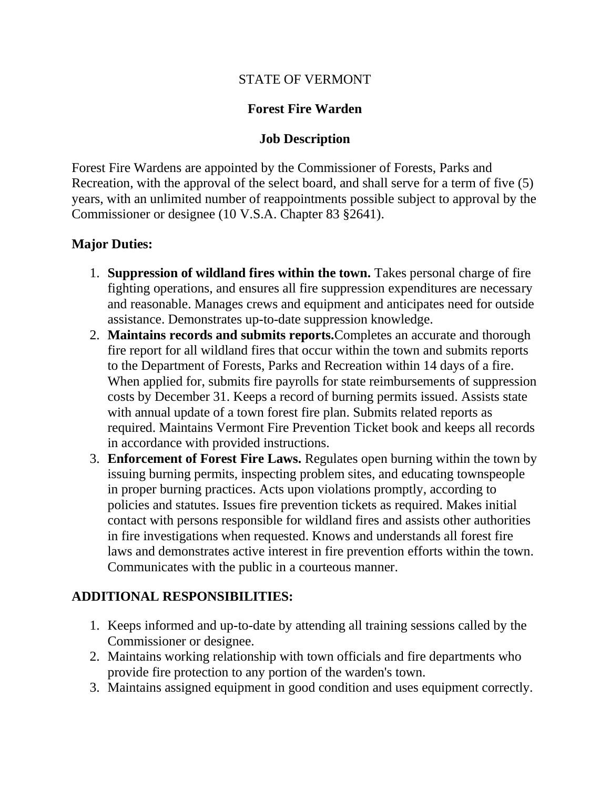#### STATE OF VERMONT

#### **Forest Fire Warden**

#### **Job Description**

Forest Fire Wardens are appointed by the Commissioner of Forests, Parks and Recreation, with the approval of the select board, and shall serve for a term of five (5) years, with an unlimited number of reappointments possible subject to approval by the Commissioner or designee (10 V.S.A. Chapter 83 §2641).

#### **Major Duties:**

- 1. **Suppression of wildland fires within the town.** Takes personal charge of fire fighting operations, and ensures all fire suppression expenditures are necessary and reasonable. Manages crews and equipment and anticipates need for outside assistance. Demonstrates up-to-date suppression knowledge.
- 2. **Maintains records and submits reports.**Completes an accurate and thorough fire report for all wildland fires that occur within the town and submits reports to the Department of Forests, Parks and Recreation within 14 days of a fire. When applied for, submits fire payrolls for state reimbursements of suppression costs by December 31. Keeps a record of burning permits issued. Assists state with annual update of a town forest fire plan. Submits related reports as required. Maintains Vermont Fire Prevention Ticket book and keeps all records in accordance with provided instructions.
- 3. **Enforcement of Forest Fire Laws.** Regulates open burning within the town by issuing burning permits, inspecting problem sites, and educating townspeople in proper burning practices. Acts upon violations promptly, according to policies and statutes. Issues fire prevention tickets as required. Makes initial contact with persons responsible for wildland fires and assists other authorities in fire investigations when requested. Knows and understands all forest fire laws and demonstrates active interest in fire prevention efforts within the town. Communicates with the public in a courteous manner.

#### **ADDITIONAL RESPONSIBILITIES:**

- 1. Keeps informed and up-to-date by attending all training sessions called by the Commissioner or designee.
- 2. Maintains working relationship with town officials and fire departments who provide fire protection to any portion of the warden's town.
- 3. Maintains assigned equipment in good condition and uses equipment correctly.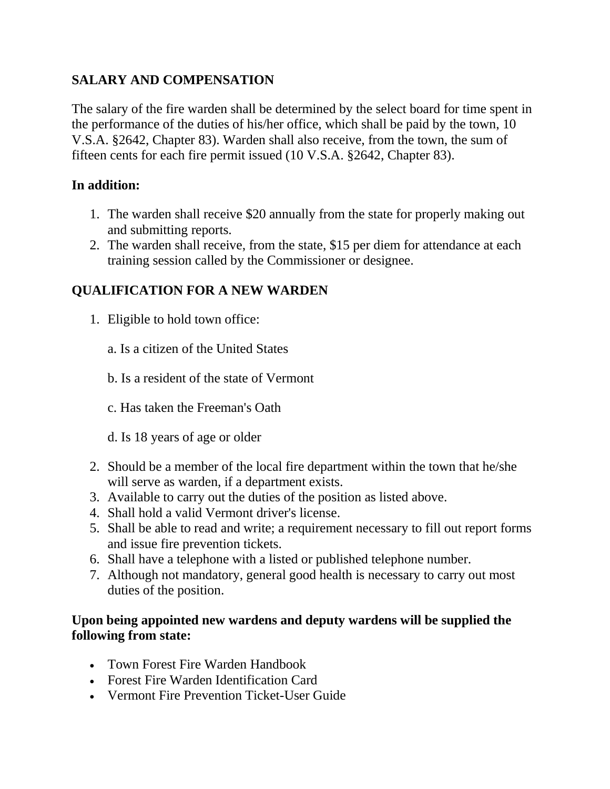# **SALARY AND COMPENSATION**

The salary of the fire warden shall be determined by the select board for time spent in the performance of the duties of his/her office, which shall be paid by the town, 10 V.S.A. §2642, Chapter 83). Warden shall also receive, from the town, the sum of fifteen cents for each fire permit issued (10 V.S.A. §2642, Chapter 83).

### **In addition:**

- 1. The warden shall receive \$20 annually from the state for properly making out and submitting reports.
- 2. The warden shall receive, from the state, \$15 per diem for attendance at each training session called by the Commissioner or designee.

## **QUALIFICATION FOR A NEW WARDEN**

- 1. Eligible to hold town office:
	- a. Is a citizen of the United States
	- b. Is a resident of the state of Vermont
	- c. Has taken the Freeman's Oath
	- d. Is 18 years of age or older
- 2. Should be a member of the local fire department within the town that he/she will serve as warden, if a department exists.
- 3. Available to carry out the duties of the position as listed above.
- 4. Shall hold a valid Vermont driver's license.
- 5. Shall be able to read and write; a requirement necessary to fill out report forms and issue fire prevention tickets.
- 6. Shall have a telephone with a listed or published telephone number.
- 7. Although not mandatory, general good health is necessary to carry out most duties of the position.

#### **Upon being appointed new wardens and deputy wardens will be supplied the following from state:**

- Town Forest Fire Warden Handbook
- Forest Fire Warden Identification Card
- Vermont Fire Prevention Ticket-User Guide